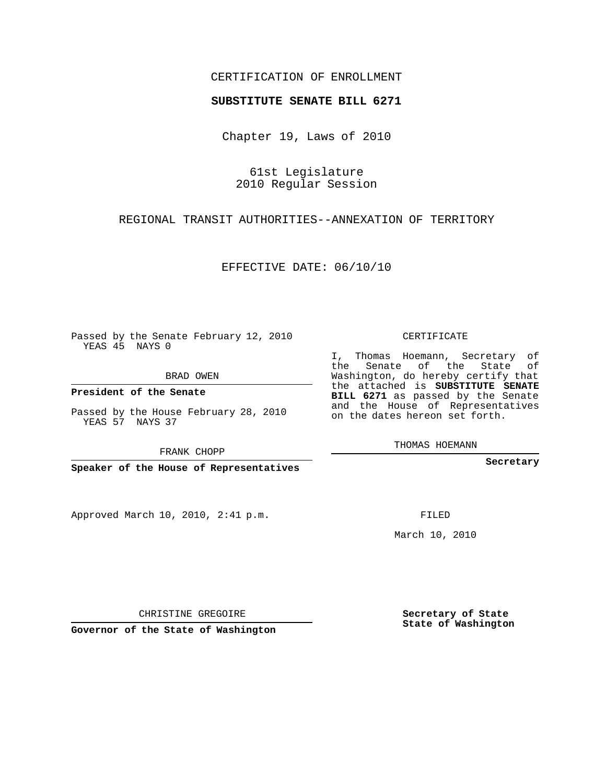## CERTIFICATION OF ENROLLMENT

## **SUBSTITUTE SENATE BILL 6271**

Chapter 19, Laws of 2010

61st Legislature 2010 Regular Session

REGIONAL TRANSIT AUTHORITIES--ANNEXATION OF TERRITORY

EFFECTIVE DATE: 06/10/10

Passed by the Senate February 12, 2010 YEAS 45 NAYS 0

BRAD OWEN

**President of the Senate**

Passed by the House February 28, 2010 YEAS 57 NAYS 37

FRANK CHOPP

**Speaker of the House of Representatives**

Approved March 10, 2010, 2:41 p.m.

CERTIFICATE

I, Thomas Hoemann, Secretary of the Senate of the State of Washington, do hereby certify that the attached is **SUBSTITUTE SENATE BILL 6271** as passed by the Senate and the House of Representatives on the dates hereon set forth.

THOMAS HOEMANN

**Secretary**

FILED

March 10, 2010

**Secretary of State State of Washington**

CHRISTINE GREGOIRE

**Governor of the State of Washington**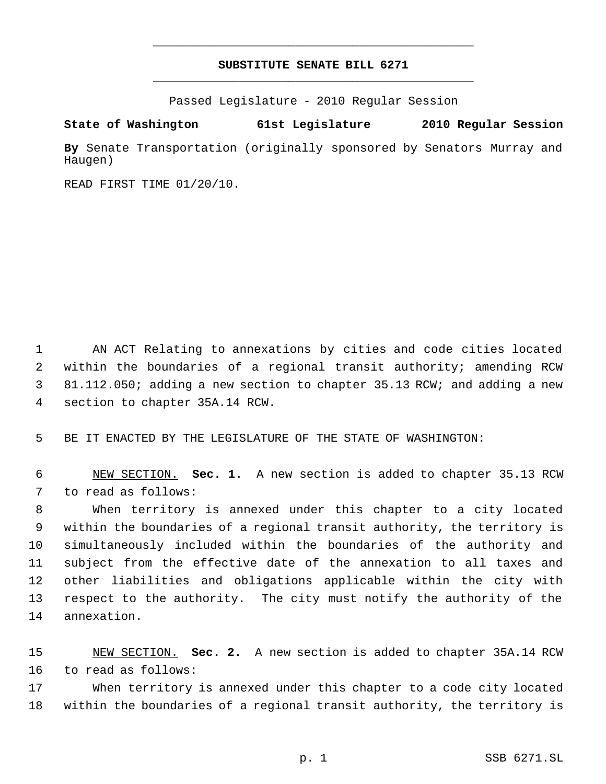## **SUBSTITUTE SENATE BILL 6271** \_\_\_\_\_\_\_\_\_\_\_\_\_\_\_\_\_\_\_\_\_\_\_\_\_\_\_\_\_\_\_\_\_\_\_\_\_\_\_\_\_\_\_\_\_

\_\_\_\_\_\_\_\_\_\_\_\_\_\_\_\_\_\_\_\_\_\_\_\_\_\_\_\_\_\_\_\_\_\_\_\_\_\_\_\_\_\_\_\_\_

Passed Legislature - 2010 Regular Session

## **State of Washington 61st Legislature 2010 Regular Session**

**By** Senate Transportation (originally sponsored by Senators Murray and Haugen)

READ FIRST TIME 01/20/10.

 AN ACT Relating to annexations by cities and code cities located within the boundaries of a regional transit authority; amending RCW 81.112.050; adding a new section to chapter 35.13 RCW; and adding a new section to chapter 35A.14 RCW.

BE IT ENACTED BY THE LEGISLATURE OF THE STATE OF WASHINGTON:

 NEW SECTION. **Sec. 1.** A new section is added to chapter 35.13 RCW to read as follows:

 When territory is annexed under this chapter to a city located within the boundaries of a regional transit authority, the territory is simultaneously included within the boundaries of the authority and subject from the effective date of the annexation to all taxes and other liabilities and obligations applicable within the city with respect to the authority. The city must notify the authority of the annexation.

 NEW SECTION. **Sec. 2.** A new section is added to chapter 35A.14 RCW to read as follows:

 When territory is annexed under this chapter to a code city located within the boundaries of a regional transit authority, the territory is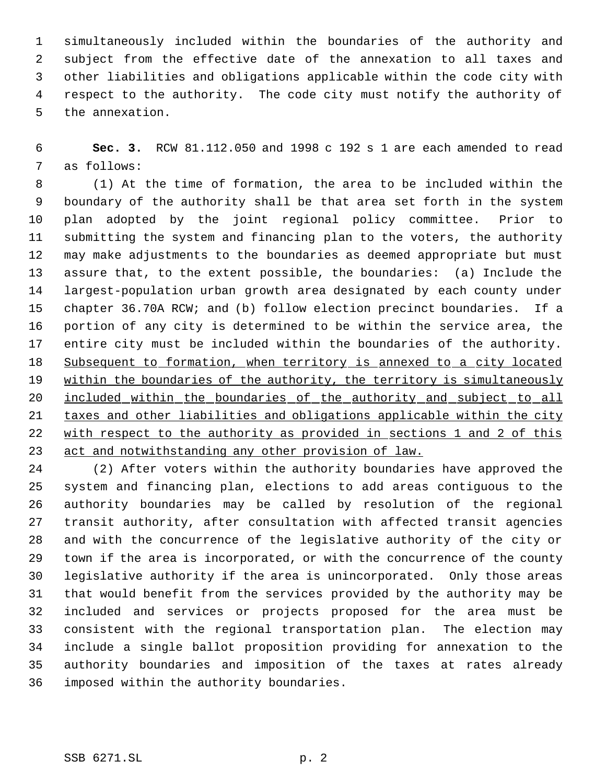simultaneously included within the boundaries of the authority and subject from the effective date of the annexation to all taxes and other liabilities and obligations applicable within the code city with respect to the authority. The code city must notify the authority of the annexation.

 **Sec. 3.** RCW 81.112.050 and 1998 c 192 s 1 are each amended to read as follows:

 (1) At the time of formation, the area to be included within the boundary of the authority shall be that area set forth in the system plan adopted by the joint regional policy committee. Prior to submitting the system and financing plan to the voters, the authority may make adjustments to the boundaries as deemed appropriate but must assure that, to the extent possible, the boundaries: (a) Include the largest-population urban growth area designated by each county under chapter 36.70A RCW; and (b) follow election precinct boundaries. If a portion of any city is determined to be within the service area, the entire city must be included within the boundaries of the authority. 18 Subsequent to formation, when territory is annexed to a city located 19 within the boundaries of the authority, the territory is simultaneously included within the boundaries of the authority and subject to all taxes and other liabilities and obligations applicable within the city 22 with respect to the authority as provided in sections 1 and 2 of this act and notwithstanding any other provision of law.

 (2) After voters within the authority boundaries have approved the system and financing plan, elections to add areas contiguous to the authority boundaries may be called by resolution of the regional transit authority, after consultation with affected transit agencies and with the concurrence of the legislative authority of the city or town if the area is incorporated, or with the concurrence of the county legislative authority if the area is unincorporated. Only those areas that would benefit from the services provided by the authority may be included and services or projects proposed for the area must be consistent with the regional transportation plan. The election may include a single ballot proposition providing for annexation to the authority boundaries and imposition of the taxes at rates already imposed within the authority boundaries.